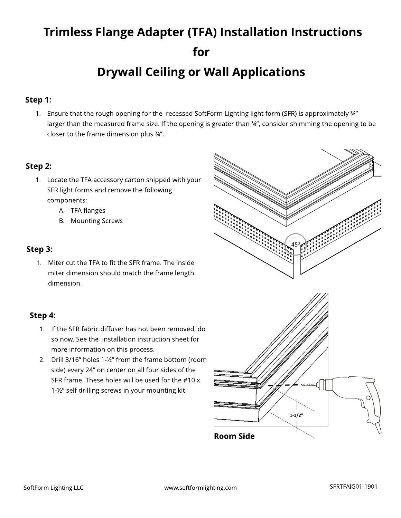# Trimless Flange Adapter (TFA) Installation Instructions for **Drywall Ceiling or Wall Applications**

### Step 1:

1. Ensure that the rough opening for the recessed SoftForm Lighting light form (SFR) is approximately ¾" larger than the measured frame size. If the opening is greater than 34", consider shimming the opening to be closer to the frame dimension plus ¾?.

#### Step 2:

- 1. Locate the TFA accessory carton shipped with your SFR light forms and remove the following components:
	- A. TFA flanges
	- B. Mounting Screws

#### Step 3:

1. Miter cut the TFA to fit the SFR frame. The inside miter dimension should match the frame length dimension.

#### Step 4:

- 1. If the SFR fabric diffuser has not been removed, do so now. See the installation instruction sheet for more information on this process.
- 2. Drill 3/16" holes 1-½" from the frame bottom (room side) every 24" on center on all four sides of the SFR frame. These holes will be used for the #10 x 1-1/2" self drilling screws in your mounting kit.